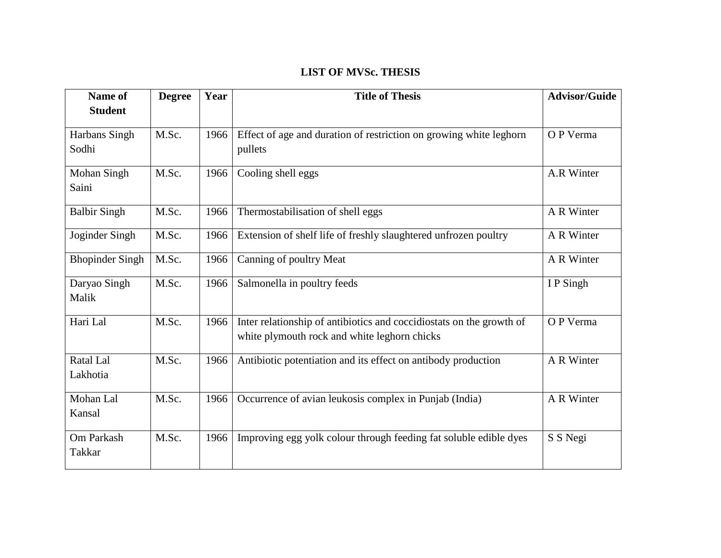## **LIST OF MVSc. THESIS**

| Name of<br><b>Student</b> | <b>Degree</b> | Year | <b>Title of Thesis</b>                                               | <b>Advisor/Guide</b> |
|---------------------------|---------------|------|----------------------------------------------------------------------|----------------------|
|                           |               |      |                                                                      |                      |
| Harbans Singh             | M.Sc.         | 1966 | Effect of age and duration of restriction on growing white leghorn   | O P Verma            |
| Sodhi                     |               |      | pullets                                                              |                      |
| Mohan Singh               | M.Sc.         | 1966 | Cooling shell eggs                                                   | A.R Winter           |
| Saini                     |               |      |                                                                      |                      |
| <b>Balbir Singh</b>       | M.Sc.         | 1966 | Thermostabilisation of shell eggs                                    | A R Winter           |
| Joginder Singh            | M.Sc.         | 1966 | Extension of shelf life of freshly slaughtered unfrozen poultry      | A R Winter           |
| <b>Bhopinder Singh</b>    | M.Sc.         | 1966 | Canning of poultry Meat                                              | A R Winter           |
| Daryao Singh              | M.Sc.         | 1966 | Salmonella in poultry feeds                                          | I P Singh            |
| Malik                     |               |      |                                                                      |                      |
| Hari Lal                  | M.Sc.         | 1966 | Inter relationship of antibiotics and coccidiostats on the growth of | O P Verma            |
|                           |               |      | white plymouth rock and white leghorn chicks                         |                      |
| Ratal Lal                 | M.Sc.         | 1966 | Antibiotic potentiation and its effect on antibody production        | A R Winter           |
| Lakhotia                  |               |      |                                                                      |                      |
| Mohan Lal                 | M.Sc.         | 1966 | Occurrence of avian leukosis complex in Punjab (India)               | A R Winter           |
| Kansal                    |               |      |                                                                      |                      |
| Om Parkash                | M.Sc.         | 1966 | Improving egg yolk colour through feeding fat soluble edible dyes    | S S Negi             |
| <b>Takkar</b>             |               |      |                                                                      |                      |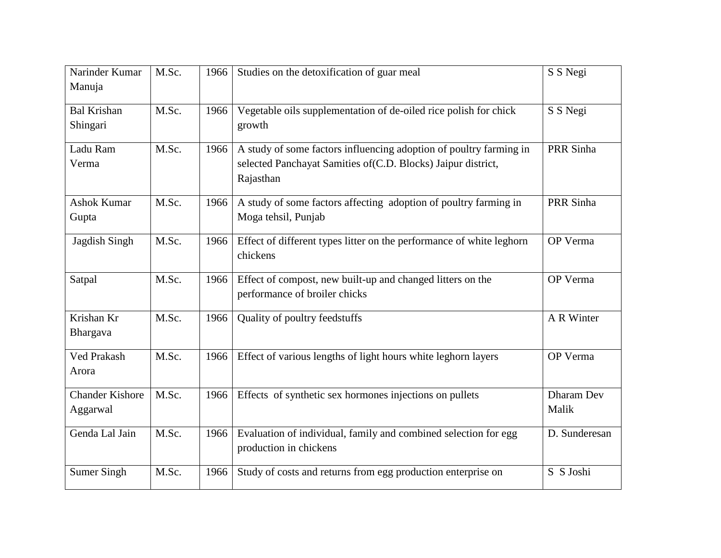| Narinder Kumar<br>Manuja           | M.Sc. | 1966 | Studies on the detoxification of guar meal                                                                                                       | S S Negi            |
|------------------------------------|-------|------|--------------------------------------------------------------------------------------------------------------------------------------------------|---------------------|
| <b>Bal Krishan</b><br>Shingari     | M.Sc. | 1966 | Vegetable oils supplementation of de-oiled rice polish for chick<br>growth                                                                       | S S Negi            |
| Ladu Ram<br>Verma                  | M.Sc. | 1966 | A study of some factors influencing adoption of poultry farming in<br>selected Panchayat Samities of (C.D. Blocks) Jaipur district,<br>Rajasthan | PRR Sinha           |
| <b>Ashok Kumar</b><br>Gupta        | M.Sc. | 1966 | A study of some factors affecting adoption of poultry farming in<br>Moga tehsil, Punjab                                                          | PRR Sinha           |
| Jagdish Singh                      | M.Sc. | 1966 | Effect of different types litter on the performance of white leghorn<br>chickens                                                                 | OP Verma            |
| Satpal                             | M.Sc. | 1966 | Effect of compost, new built-up and changed litters on the<br>performance of broiler chicks                                                      | OP Verma            |
| Krishan Kr<br>Bhargava             | M.Sc. | 1966 | Quality of poultry feedstuffs                                                                                                                    | A R Winter          |
| <b>Ved Prakash</b><br>Arora        | M.Sc. | 1966 | Effect of various lengths of light hours white leghorn layers                                                                                    | OP Verma            |
| <b>Chander Kishore</b><br>Aggarwal | M.Sc. | 1966 | Effects of synthetic sex hormones injections on pullets                                                                                          | Dharam Dev<br>Malik |
| Genda Lal Jain                     | M.Sc. | 1966 | Evaluation of individual, family and combined selection for egg<br>production in chickens                                                        | D. Sunderesan       |
| <b>Sumer Singh</b>                 | M.Sc. | 1966 | Study of costs and returns from egg production enterprise on                                                                                     | S S Joshi           |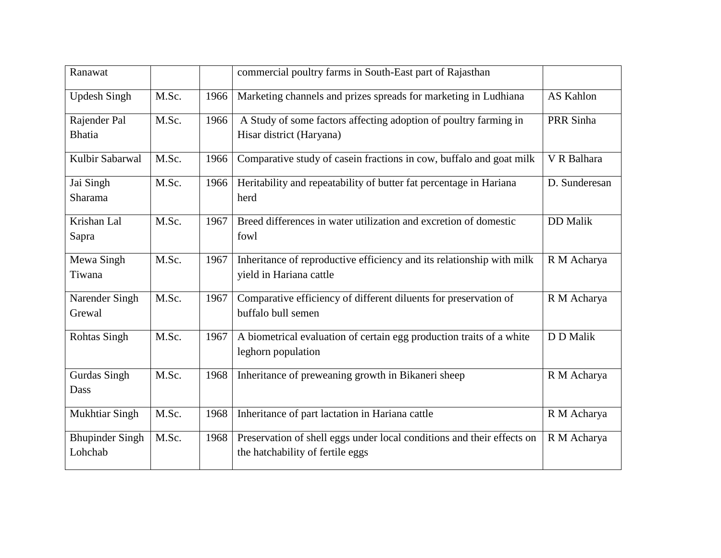| Ranawat                           |       |      | commercial poultry farms in South-East part of Rajasthan                                                   |                 |
|-----------------------------------|-------|------|------------------------------------------------------------------------------------------------------------|-----------------|
| <b>Updesh Singh</b>               | M.Sc. | 1966 | Marketing channels and prizes spreads for marketing in Ludhiana                                            | AS Kahlon       |
| Rajender Pal<br><b>Bhatia</b>     | M.Sc. | 1966 | A Study of some factors affecting adoption of poultry farming in<br>Hisar district (Haryana)               | PRR Sinha       |
| Kulbir Sabarwal                   | M.Sc. | 1966 | Comparative study of case in fractions in cow, buffalo and goat milk                                       | V R Balhara     |
| Jai Singh<br>Sharama              | M.Sc. | 1966 | Heritability and repeatability of butter fat percentage in Hariana<br>herd                                 | D. Sunderesan   |
| Krishan Lal<br>Sapra              | M.Sc. | 1967 | Breed differences in water utilization and excretion of domestic<br>fowl                                   | <b>DD</b> Malik |
| Mewa Singh<br>Tiwana              | M.Sc. | 1967 | Inheritance of reproductive efficiency and its relationship with milk<br>yield in Hariana cattle           | R M Acharya     |
| Narender Singh<br>Grewal          | M.Sc. | 1967 | Comparative efficiency of different diluents for preservation of<br>buffalo bull semen                     | R M Acharya     |
| <b>Rohtas Singh</b>               | M.Sc. | 1967 | A biometrical evaluation of certain egg production traits of a white<br>leghorn population                 | D D Malik       |
| Gurdas Singh<br>Dass              | M.Sc. | 1968 | Inheritance of preweaning growth in Bikaneri sheep                                                         | R M Acharya     |
| <b>Mukhtiar Singh</b>             | M.Sc. | 1968 | Inheritance of part lactation in Hariana cattle                                                            | R M Acharya     |
| <b>Bhupinder Singh</b><br>Lohchab | M.Sc. | 1968 | Preservation of shell eggs under local conditions and their effects on<br>the hatchability of fertile eggs | R M Acharya     |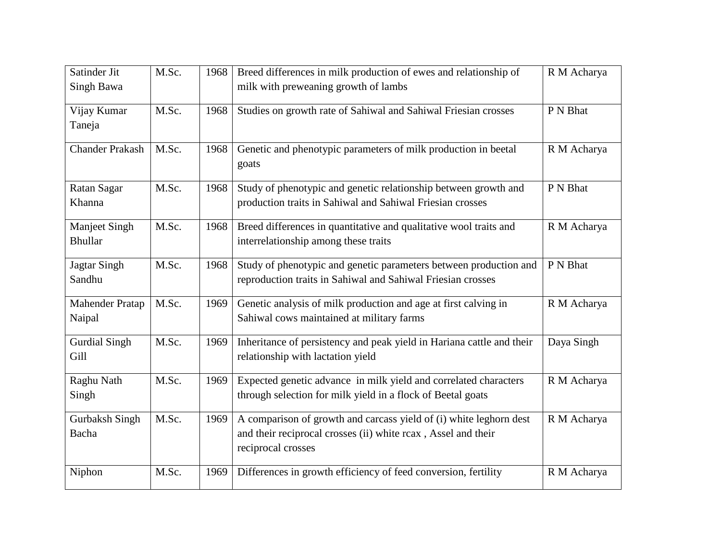| Satinder Jit                    | M.Sc. | 1968 | Breed differences in milk production of ewes and relationship of                                          | R M Acharya |
|---------------------------------|-------|------|-----------------------------------------------------------------------------------------------------------|-------------|
| Singh Bawa                      |       |      | milk with preweaning growth of lambs                                                                      |             |
| Vijay Kumar                     | M.Sc. | 1968 | Studies on growth rate of Sahiwal and Sahiwal Friesian crosses                                            | P N Bhat    |
| Taneja                          |       |      |                                                                                                           |             |
| <b>Chander Prakash</b>          | M.Sc. | 1968 | Genetic and phenotypic parameters of milk production in beetal<br>goats                                   | R M Acharya |
| Ratan Sagar                     | M.Sc. | 1968 | Study of phenotypic and genetic relationship between growth and                                           | P N Bhat    |
| Khanna                          |       |      | production traits in Sahiwal and Sahiwal Friesian crosses                                                 |             |
| Manjeet Singh<br><b>Bhullar</b> | M.Sc. | 1968 | Breed differences in quantitative and qualitative wool traits and<br>interrelationship among these traits | R M Acharya |
|                                 |       |      |                                                                                                           |             |
| <b>Jagtar Singh</b>             | M.Sc. | 1968 | Study of phenotypic and genetic parameters between production and                                         | P N Bhat    |
| Sandhu                          |       |      | reproduction traits in Sahiwal and Sahiwal Friesian crosses                                               |             |
| <b>Mahender Pratap</b>          | M.Sc. | 1969 | Genetic analysis of milk production and age at first calving in                                           | R M Acharya |
| Naipal                          |       |      | Sahiwal cows maintained at military farms                                                                 |             |
| <b>Gurdial Singh</b>            | M.Sc. | 1969 | Inheritance of persistency and peak yield in Hariana cattle and their                                     | Daya Singh  |
| Gill                            |       |      | relationship with lactation yield                                                                         |             |
| Raghu Nath                      | M.Sc. | 1969 | Expected genetic advance in milk yield and correlated characters                                          | R M Acharya |
| Singh                           |       |      | through selection for milk yield in a flock of Beetal goats                                               |             |
| <b>Gurbaksh Singh</b>           | M.Sc. | 1969 | A comparison of growth and carcass yield of (i) white leghorn dest                                        | R M Acharya |
| Bacha                           |       |      | and their reciprocal crosses (ii) white rcax, Assel and their                                             |             |
|                                 |       |      | reciprocal crosses                                                                                        |             |
| Niphon                          | M.Sc. | 1969 | Differences in growth efficiency of feed conversion, fertility                                            | R M Acharya |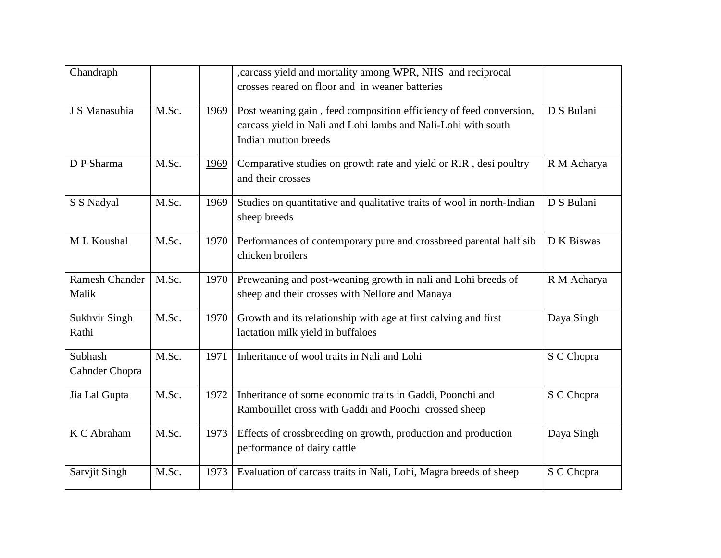| Chandraph                      |       |      | , carcass yield and mortality among WPR, NHS and reciprocal<br>crosses reared on floor and in weaner batteries                                              |             |
|--------------------------------|-------|------|-------------------------------------------------------------------------------------------------------------------------------------------------------------|-------------|
| J S Manasuhia                  | M.Sc. | 1969 | Post weaning gain, feed composition efficiency of feed conversion,<br>carcass yield in Nali and Lohi lambs and Nali-Lohi with south<br>Indian mutton breeds | D S Bulani  |
| D P Sharma                     | M.Sc. | 1969 | Comparative studies on growth rate and yield or RIR, desi poultry<br>and their crosses                                                                      | R M Acharya |
| S S Nadyal                     | M.Sc. | 1969 | Studies on quantitative and qualitative traits of wool in north-Indian<br>sheep breeds                                                                      | D S Bulani  |
| M L Koushal                    | M.Sc. | 1970 | Performances of contemporary pure and crossbreed parental half sib<br>chicken broilers                                                                      | D K Biswas  |
| <b>Ramesh Chander</b><br>Malik | M.Sc. | 1970 | Preweaning and post-weaning growth in nali and Lohi breeds of<br>sheep and their crosses with Nellore and Manaya                                            | R M Acharya |
| <b>Sukhvir Singh</b><br>Rathi  | M.Sc. | 1970 | Growth and its relationship with age at first calving and first<br>lactation milk yield in buffaloes                                                        | Daya Singh  |
| Subhash<br>Cahnder Chopra      | M.Sc. | 1971 | Inheritance of wool traits in Nali and Lohi                                                                                                                 | S C Chopra  |
| Jia Lal Gupta                  | M.Sc. | 1972 | Inheritance of some economic traits in Gaddi, Poonchi and<br>Rambouillet cross with Gaddi and Poochi crossed sheep                                          | S C Chopra  |
| K C Abraham                    | M.Sc. | 1973 | Effects of crossbreeding on growth, production and production<br>performance of dairy cattle                                                                | Daya Singh  |
| Sarvjit Singh                  | M.Sc. | 1973 | Evaluation of carcass traits in Nali, Lohi, Magra breeds of sheep                                                                                           | S C Chopra  |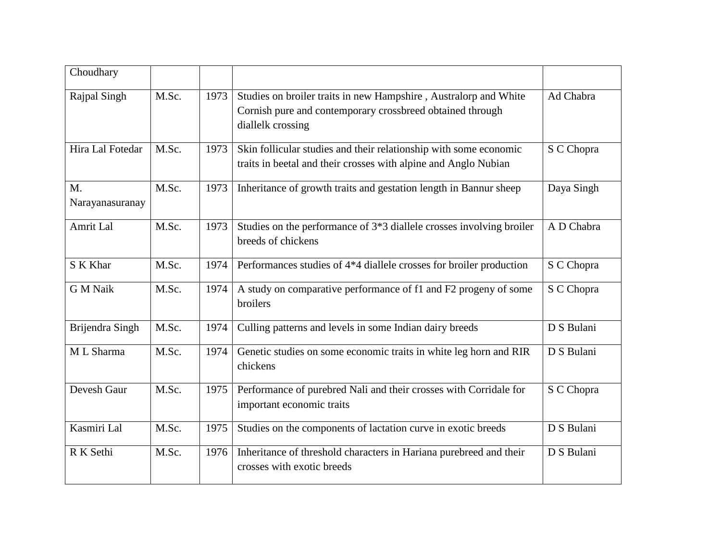| Choudhary             |       |      |                                                                                                                                                    |            |
|-----------------------|-------|------|----------------------------------------------------------------------------------------------------------------------------------------------------|------------|
| Rajpal Singh          | M.Sc. | 1973 | Studies on broiler traits in new Hampshire, Australorp and White<br>Cornish pure and contemporary crossbreed obtained through<br>diallelk crossing | Ad Chabra  |
| Hira Lal Fotedar      | M.Sc. | 1973 | Skin follicular studies and their relationship with some economic<br>traits in beetal and their crosses with alpine and Anglo Nubian               | S C Chopra |
| M.<br>Narayanasuranay | M.Sc. | 1973 | Inheritance of growth traits and gestation length in Bannur sheep                                                                                  | Daya Singh |
| Amrit Lal             | M.Sc. | 1973 | Studies on the performance of 3*3 diallele crosses involving broiler<br>breeds of chickens                                                         | A D Chabra |
| S K Khar              | M.Sc. | 1974 | Performances studies of 4*4 diallele crosses for broiler production                                                                                | S C Chopra |
| <b>G M Naik</b>       | M.Sc. | 1974 | A study on comparative performance of f1 and F2 progeny of some<br>broilers                                                                        | S C Chopra |
| Brijendra Singh       | M.Sc. | 1974 | Culling patterns and levels in some Indian dairy breeds                                                                                            | D S Bulani |
| M L Sharma            | M.Sc. | 1974 | Genetic studies on some economic traits in white leg horn and RIR<br>chickens                                                                      | D S Bulani |
| Devesh Gaur           | M.Sc. | 1975 | Performance of purebred Nali and their crosses with Corridale for<br>important economic traits                                                     | S C Chopra |
| Kasmiri Lal           | M.Sc. | 1975 | Studies on the components of lactation curve in exotic breeds                                                                                      | D S Bulani |
| R K Sethi             | M.Sc. | 1976 | Inheritance of threshold characters in Hariana purebreed and their<br>crosses with exotic breeds                                                   | D S Bulani |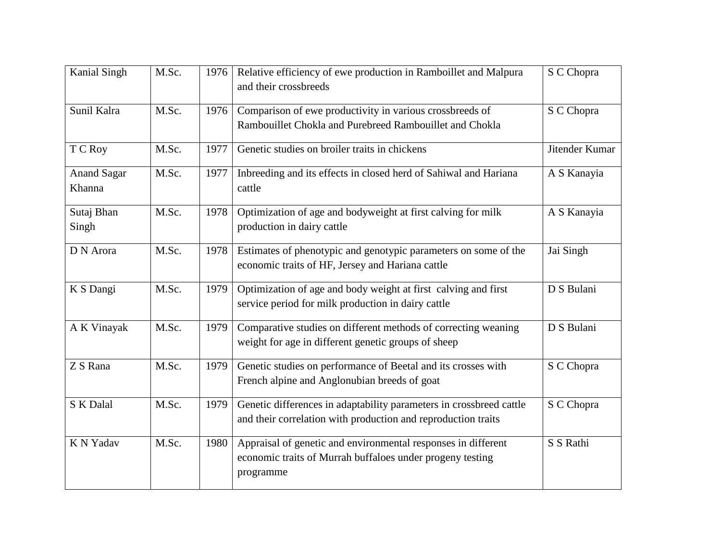| <b>Kanial Singh</b>          | M.Sc. | 1976 | Relative efficiency of ewe production in Ramboillet and Malpura<br>and their crossbreeds                                                | S C Chopra     |
|------------------------------|-------|------|-----------------------------------------------------------------------------------------------------------------------------------------|----------------|
| Sunil Kalra                  | M.Sc. | 1976 | Comparison of ewe productivity in various crossbreeds of<br>Rambouillet Chokla and Purebreed Rambouillet and Chokla                     | S C Chopra     |
| T C Roy                      | M.Sc. | 1977 | Genetic studies on broiler traits in chickens                                                                                           | Jitender Kumar |
| <b>Anand Sagar</b><br>Khanna | M.Sc. | 1977 | Inbreeding and its effects in closed herd of Sahiwal and Hariana<br>cattle                                                              | A S Kanayia    |
| Sutaj Bhan<br>Singh          | M.Sc. | 1978 | Optimization of age and bodyweight at first calving for milk<br>production in dairy cattle                                              | A S Kanayia    |
| D N Arora                    | M.Sc. | 1978 | Estimates of phenotypic and genotypic parameters on some of the<br>economic traits of HF, Jersey and Hariana cattle                     | Jai Singh      |
| K S Dangi                    | M.Sc. | 1979 | Optimization of age and body weight at first calving and first<br>service period for milk production in dairy cattle                    | D S Bulani     |
| A K Vinayak                  | M.Sc. | 1979 | Comparative studies on different methods of correcting weaning<br>weight for age in different genetic groups of sheep                   | D S Bulani     |
| Z S Rana                     | M.Sc. | 1979 | Genetic studies on performance of Beetal and its crosses with<br>French alpine and Anglonubian breeds of goat                           | S C Chopra     |
| S K Dalal                    | M.Sc. | 1979 | Genetic differences in adaptability parameters in crossbreed cattle<br>and their correlation with production and reproduction traits    | S C Chopra     |
| K N Yadav                    | M.Sc. | 1980 | Appraisal of genetic and environmental responses in different<br>economic traits of Murrah buffaloes under progeny testing<br>programme | S S Rathi      |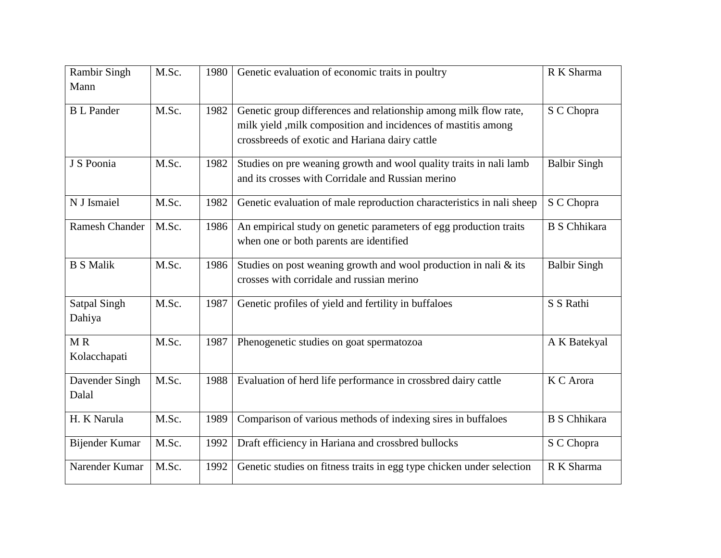| <b>Rambir Singh</b> | M.Sc. | 1980 | Genetic evaluation of economic traits in poultry                      | R K Sharma          |
|---------------------|-------|------|-----------------------------------------------------------------------|---------------------|
| Mann                |       |      |                                                                       |                     |
| <b>B</b> L Pander   | M.Sc. | 1982 | Genetic group differences and relationship among milk flow rate,      | S C Chopra          |
|                     |       |      | milk yield , milk composition and incidences of mastitis among        |                     |
|                     |       |      | crossbreeds of exotic and Hariana dairy cattle                        |                     |
| J S Poonia          | M.Sc. | 1982 | Studies on pre weaning growth and wool quality traits in nali lamb    | <b>Balbir Singh</b> |
|                     |       |      | and its crosses with Corridale and Russian merino                     |                     |
| N J Ismaiel         | M.Sc. | 1982 | Genetic evaluation of male reproduction characteristics in nali sheep | S C Chopra          |
| Ramesh Chander      | M.Sc. | 1986 | An empirical study on genetic parameters of egg production traits     | <b>B</b> S Chhikara |
|                     |       |      | when one or both parents are identified                               |                     |
| <b>B S Malik</b>    | M.Sc. | 1986 | Studies on post weaning growth and wool production in nali $\&$ its   | <b>Balbir Singh</b> |
|                     |       |      | crosses with corridale and russian merino                             |                     |
| <b>Satpal Singh</b> | M.Sc. | 1987 | Genetic profiles of yield and fertility in buffaloes                  | S S Rathi           |
| Dahiya              |       |      |                                                                       |                     |
| MR                  | M.Sc. | 1987 | Phenogenetic studies on goat spermatozoa                              | A K Batekyal        |
| Kolacchapati        |       |      |                                                                       |                     |
| Davender Singh      | M.Sc. | 1988 | Evaluation of herd life performance in crossbred dairy cattle         | K C Arora           |
| Dalal               |       |      |                                                                       |                     |
| H. K Narula         | M.Sc. | 1989 | Comparison of various methods of indexing sires in buffaloes          | <b>B</b> S Chhikara |
| Bijender Kumar      | M.Sc. | 1992 | Draft efficiency in Hariana and crossbred bullocks                    | S C Chopra          |
| Narender Kumar      | M.Sc. | 1992 | Genetic studies on fitness traits in egg type chicken under selection | R K Sharma          |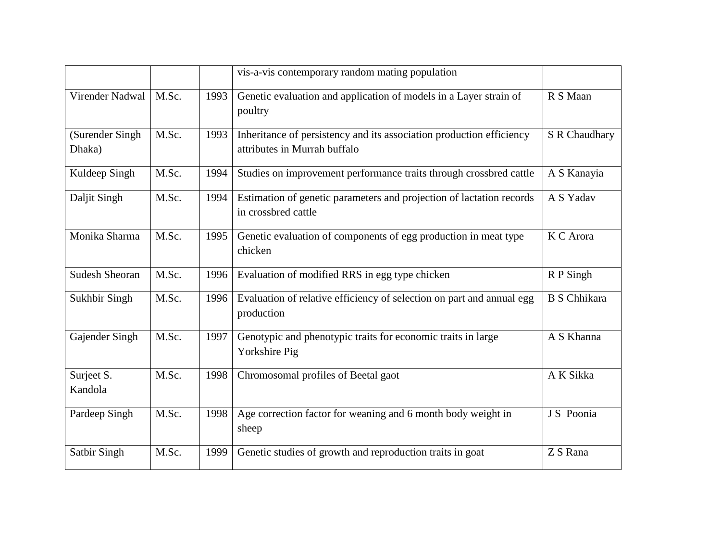|                           |       |      | vis-a-vis contemporary random mating population                                                      |                     |
|---------------------------|-------|------|------------------------------------------------------------------------------------------------------|---------------------|
| Virender Nadwal           | M.Sc. | 1993 | Genetic evaluation and application of models in a Layer strain of<br>poultry                         | R S Maan            |
| (Surender Singh<br>Dhaka) | M.Sc. | 1993 | Inheritance of persistency and its association production efficiency<br>attributes in Murrah buffalo | S R Chaudhary       |
| Kuldeep Singh             | M.Sc. | 1994 | Studies on improvement performance traits through crossbred cattle                                   | A S Kanayia         |
| Daljit Singh              | M.Sc. | 1994 | Estimation of genetic parameters and projection of lactation records<br>in crossbred cattle          | A S Yadav           |
| Monika Sharma             | M.Sc. | 1995 | Genetic evaluation of components of egg production in meat type<br>chicken                           | K C Arora           |
| <b>Sudesh Sheoran</b>     | M.Sc. | 1996 | Evaluation of modified RRS in egg type chicken                                                       | R P Singh           |
| Sukhbir Singh             | M.Sc. | 1996 | Evaluation of relative efficiency of selection on part and annual egg<br>production                  | <b>B</b> S Chhikara |
| Gajender Singh            | M.Sc. | 1997 | Genotypic and phenotypic traits for economic traits in large<br>Yorkshire Pig                        | A S Khanna          |
| Surjeet S.<br>Kandola     | M.Sc. | 1998 | Chromosomal profiles of Beetal gaot                                                                  | A K Sikka           |
| Pardeep Singh             | M.Sc. | 1998 | Age correction factor for weaning and 6 month body weight in<br>sheep                                | J S Poonia          |
| Satbir Singh              | M.Sc. | 1999 | Genetic studies of growth and reproduction traits in goat                                            | Z S Rana            |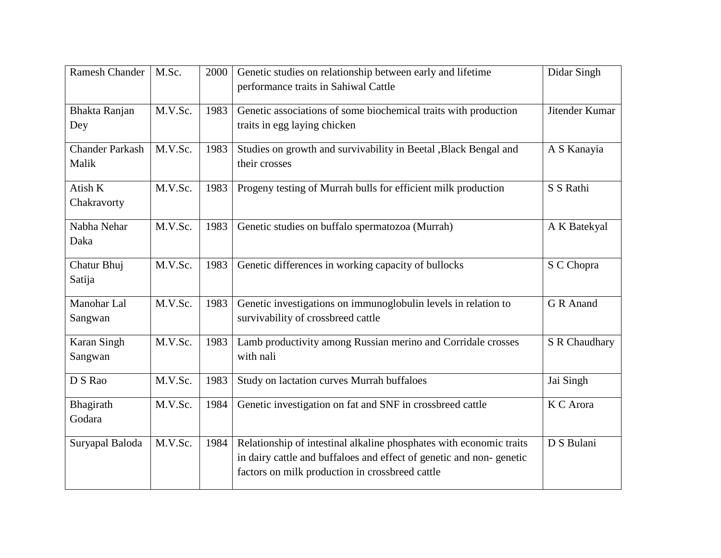| <b>Ramesh Chander</b>  | M.Sc.   | 2000 | Genetic studies on relationship between early and lifetime<br>performance traits in Sahiwal Cattle | Didar Singh    |
|------------------------|---------|------|----------------------------------------------------------------------------------------------------|----------------|
|                        |         |      |                                                                                                    |                |
| Bhakta Ranjan          | M.V.Sc. | 1983 | Genetic associations of some biochemical traits with production                                    | Jitender Kumar |
| Dey                    |         |      | traits in egg laying chicken                                                                       |                |
| <b>Chander Parkash</b> | M.V.Sc. | 1983 | Studies on growth and survivability in Beetal , Black Bengal and                                   | A S Kanayia    |
| Malik                  |         |      | their crosses                                                                                      |                |
| Atish K                | M.V.Sc. | 1983 | Progeny testing of Murrah bulls for efficient milk production                                      | S S Rathi      |
| Chakravorty            |         |      |                                                                                                    |                |
| Nabha Nehar            | M.V.Sc. | 1983 | Genetic studies on buffalo spermatozoa (Murrah)                                                    | A K Batekyal   |
| Daka                   |         |      |                                                                                                    |                |
| Chatur Bhuj            | M.V.Sc. | 1983 | Genetic differences in working capacity of bullocks                                                | S C Chopra     |
| Satija                 |         |      |                                                                                                    |                |
| Manohar Lal            | M.V.Sc. | 1983 | Genetic investigations on immunoglobulin levels in relation to                                     | G R Anand      |
| Sangwan                |         |      | survivability of crossbreed cattle                                                                 |                |
| Karan Singh            | M.V.Sc. | 1983 | Lamb productivity among Russian merino and Corridale crosses                                       | S R Chaudhary  |
| Sangwan                |         |      | with nali                                                                                          |                |
| D S Rao                | M.V.Sc. | 1983 | Study on lactation curves Murrah buffaloes                                                         | Jai Singh      |
| Bhagirath              | M.V.Sc. | 1984 | Genetic investigation on fat and SNF in crossbreed cattle                                          | K C Arora      |
| Godara                 |         |      |                                                                                                    |                |
| Suryapal Baloda        | M.V.Sc. | 1984 | Relationship of intestinal alkaline phosphates with economic traits                                | D S Bulani     |
|                        |         |      | in dairy cattle and buffaloes and effect of genetic and non-genetic                                |                |
|                        |         |      | factors on milk production in crossbreed cattle                                                    |                |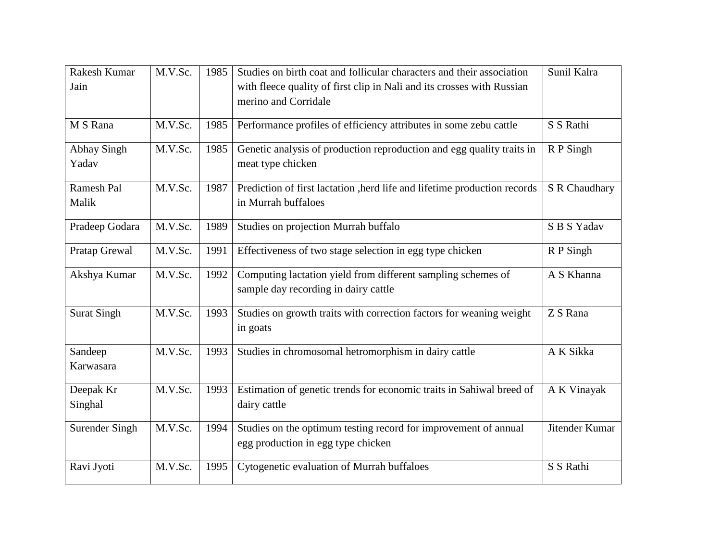| M.V.Sc. | 1985    | Studies on birth coat and follicular characters and their association     | Sunil Kalra                                                                                               |
|---------|---------|---------------------------------------------------------------------------|-----------------------------------------------------------------------------------------------------------|
|         |         | with fleece quality of first clip in Nali and its crosses with Russian    |                                                                                                           |
|         |         | merino and Corridale                                                      |                                                                                                           |
|         |         |                                                                           |                                                                                                           |
|         |         |                                                                           | S S Rathi                                                                                                 |
| M.V.Sc. | 1985    | Genetic analysis of production reproduction and egg quality traits in     | R P Singh                                                                                                 |
|         |         | meat type chicken                                                         |                                                                                                           |
| M.V.Sc. | 1987    | Prediction of first lactation , herd life and lifetime production records | S R Chaudhary                                                                                             |
|         |         | in Murrah buffaloes                                                       |                                                                                                           |
| M.V.Sc. | 1989    | Studies on projection Murrah buffalo                                      | S B S Yadav                                                                                               |
| M.V.Sc. | 1991    | Effectiveness of two stage selection in egg type chicken                  | R P Singh                                                                                                 |
| M.V.Sc. | 1992    | Computing lactation yield from different sampling schemes of              | A S Khanna                                                                                                |
|         |         |                                                                           |                                                                                                           |
| M.V.Sc. | 1993    | Studies on growth traits with correction factors for weaning weight       | Z S Rana                                                                                                  |
|         |         | in goats                                                                  |                                                                                                           |
| M.V.Sc. | 1993    | Studies in chromosomal hetromorphism in dairy cattle                      | A K Sikka                                                                                                 |
|         |         |                                                                           |                                                                                                           |
| M.V.Sc. | 1993    | Estimation of genetic trends for economic traits in Sahiwal breed of      | A K Vinayak                                                                                               |
|         |         | dairy cattle                                                              |                                                                                                           |
| M.V.Sc. | 1994    | Studies on the optimum testing record for improvement of annual           | Jitender Kumar                                                                                            |
|         |         | egg production in egg type chicken                                        |                                                                                                           |
| M.V.Sc. | 1995    | Cytogenetic evaluation of Murrah buffaloes                                | S S Rathi                                                                                                 |
|         | M.V.Sc. | 1985                                                                      | Performance profiles of efficiency attributes in some zebu cattle<br>sample day recording in dairy cattle |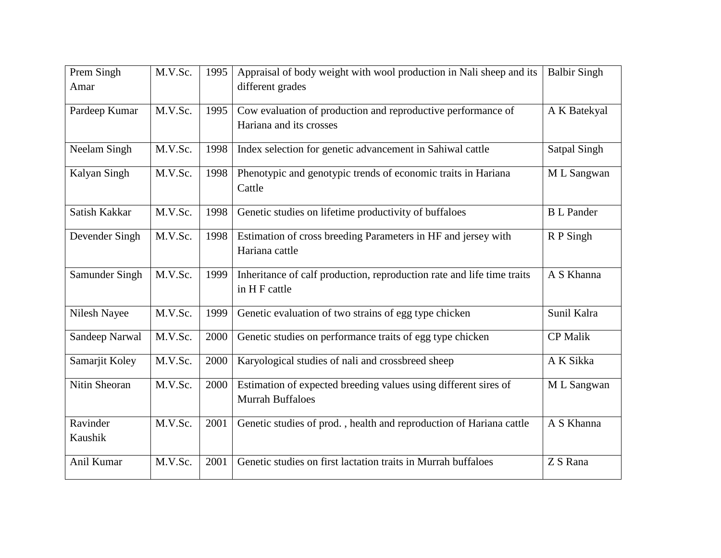| Prem Singh<br>Amar  | M.V.Sc. | 1995 | Appraisal of body weight with wool production in Nali sheep and its<br>different grades    | <b>Balbir Singh</b> |
|---------------------|---------|------|--------------------------------------------------------------------------------------------|---------------------|
| Pardeep Kumar       | M.V.Sc. | 1995 | Cow evaluation of production and reproductive performance of<br>Hariana and its crosses    | A K Batekyal        |
| Neelam Singh        | M.V.Sc. | 1998 | Index selection for genetic advancement in Sahiwal cattle                                  | Satpal Singh        |
| Kalyan Singh        | M.V.Sc. | 1998 | Phenotypic and genotypic trends of economic traits in Hariana<br>Cattle                    | M L Sangwan         |
| Satish Kakkar       | M.V.Sc. | 1998 | Genetic studies on lifetime productivity of buffaloes                                      | <b>B</b> L Pander   |
| Devender Singh      | M.V.Sc. | 1998 | Estimation of cross breeding Parameters in HF and jersey with<br>Hariana cattle            | R P Singh           |
| Samunder Singh      | M.V.Sc. | 1999 | Inheritance of calf production, reproduction rate and life time traits<br>in H F cattle    | A S Khanna          |
| Nilesh Nayee        | M.V.Sc. | 1999 | Genetic evaluation of two strains of egg type chicken                                      | Sunil Kalra         |
| Sandeep Narwal      | M.V.Sc. | 2000 | Genetic studies on performance traits of egg type chicken                                  | <b>CP Malik</b>     |
| Samarjit Koley      | M.V.Sc. | 2000 | Karyological studies of nali and crossbreed sheep                                          | A K Sikka           |
| Nitin Sheoran       | M.V.Sc. | 2000 | Estimation of expected breeding values using different sires of<br><b>Murrah Buffaloes</b> | M L Sangwan         |
| Ravinder<br>Kaushik | M.V.Sc. | 2001 | Genetic studies of prod., health and reproduction of Hariana cattle                        | A S Khanna          |
| Anil Kumar          | M.V.Sc. | 2001 | Genetic studies on first lactation traits in Murrah buffaloes                              | $ZS$ Rana           |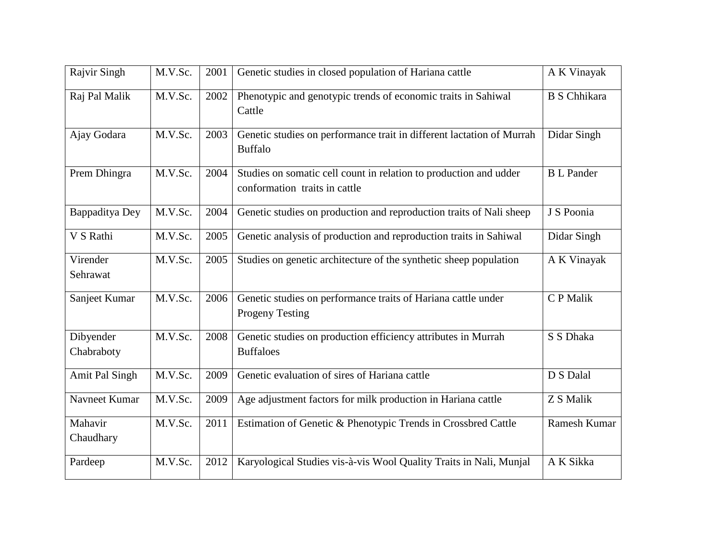| Rajvir Singh            | M.V.Sc. | 2001 | Genetic studies in closed population of Hariana cattle                                             | A K Vinayak         |
|-------------------------|---------|------|----------------------------------------------------------------------------------------------------|---------------------|
| Raj Pal Malik           | M.V.Sc. | 2002 | Phenotypic and genotypic trends of economic traits in Sahiwal<br>Cattle                            | <b>B</b> S Chhikara |
| Ajay Godara             | M.V.Sc. | 2003 | Genetic studies on performance trait in different lactation of Murrah<br><b>Buffalo</b>            | Didar Singh         |
| Prem Dhingra            | M.V.Sc. | 2004 | Studies on somatic cell count in relation to production and udder<br>conformation traits in cattle | <b>B</b> L Pander   |
| Bappaditya Dey          | M.V.Sc. | 2004 | Genetic studies on production and reproduction traits of Nali sheep                                | J S Poonia          |
| V S Rathi               | M.V.Sc. | 2005 | Genetic analysis of production and reproduction traits in Sahiwal                                  | Didar Singh         |
| Virender<br>Sehrawat    | M.V.Sc. | 2005 | Studies on genetic architecture of the synthetic sheep population                                  | A K Vinayak         |
| Sanjeet Kumar           | M.V.Sc. | 2006 | Genetic studies on performance traits of Hariana cattle under<br><b>Progeny Testing</b>            | C P Malik           |
| Dibyender<br>Chabraboty | M.V.Sc. | 2008 | Genetic studies on production efficiency attributes in Murrah<br><b>Buffaloes</b>                  | S S Dhaka           |
| Amit Pal Singh          | M.V.Sc. | 2009 | Genetic evaluation of sires of Hariana cattle                                                      | D S Dalal           |
| Navneet Kumar           | M.V.Sc. | 2009 | Age adjustment factors for milk production in Hariana cattle                                       | Z S Malik           |
| Mahavir<br>Chaudhary    | M.V.Sc. | 2011 | Estimation of Genetic & Phenotypic Trends in Crossbred Cattle                                      | Ramesh Kumar        |
| Pardeep                 | M.V.Sc. | 2012 | Karyological Studies vis-à-vis Wool Quality Traits in Nali, Munjal                                 | A K Sikka           |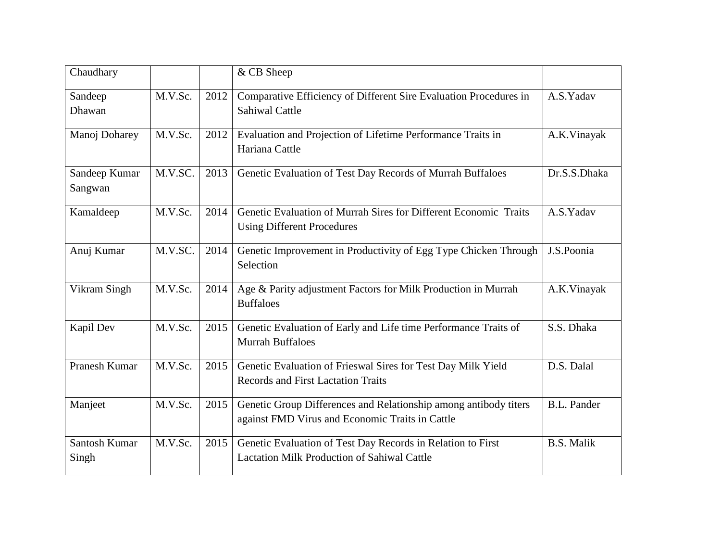| Chaudhary                |         |      | & CB Sheep                                                                                                          |                   |
|--------------------------|---------|------|---------------------------------------------------------------------------------------------------------------------|-------------------|
| Sandeep<br>Dhawan        | M.V.Sc. | 2012 | Comparative Efficiency of Different Sire Evaluation Procedures in<br><b>Sahiwal Cattle</b>                          | A.S.Yadav         |
| Manoj Doharey            | M.V.Sc. | 2012 | Evaluation and Projection of Lifetime Performance Traits in<br>Hariana Cattle                                       | A.K.Vinayak       |
| Sandeep Kumar<br>Sangwan | M.V.SC. | 2013 | Genetic Evaluation of Test Day Records of Murrah Buffaloes                                                          | Dr.S.S.Dhaka      |
| Kamaldeep                | M.V.Sc. | 2014 | Genetic Evaluation of Murrah Sires for Different Economic Traits<br><b>Using Different Procedures</b>               | A.S.Yadav         |
| Anuj Kumar               | M.V.SC. | 2014 | Genetic Improvement in Productivity of Egg Type Chicken Through<br>Selection                                        | J.S.Poonia        |
| Vikram Singh             | M.V.Sc. | 2014 | Age & Parity adjustment Factors for Milk Production in Murrah<br><b>Buffaloes</b>                                   | A.K.Vinayak       |
| Kapil Dev                | M.V.Sc. | 2015 | Genetic Evaluation of Early and Life time Performance Traits of<br><b>Murrah Buffaloes</b>                          | S.S. Dhaka        |
| Pranesh Kumar            | M.V.Sc. | 2015 | Genetic Evaluation of Frieswal Sires for Test Day Milk Yield<br><b>Records and First Lactation Traits</b>           | D.S. Dalal        |
| Manjeet                  | M.V.Sc. | 2015 | Genetic Group Differences and Relationship among antibody titers<br>against FMD Virus and Economic Traits in Cattle | B.L. Pander       |
| Santosh Kumar<br>Singh   | M.V.Sc. | 2015 | Genetic Evaluation of Test Day Records in Relation to First<br><b>Lactation Milk Production of Sahiwal Cattle</b>   | <b>B.S. Malik</b> |